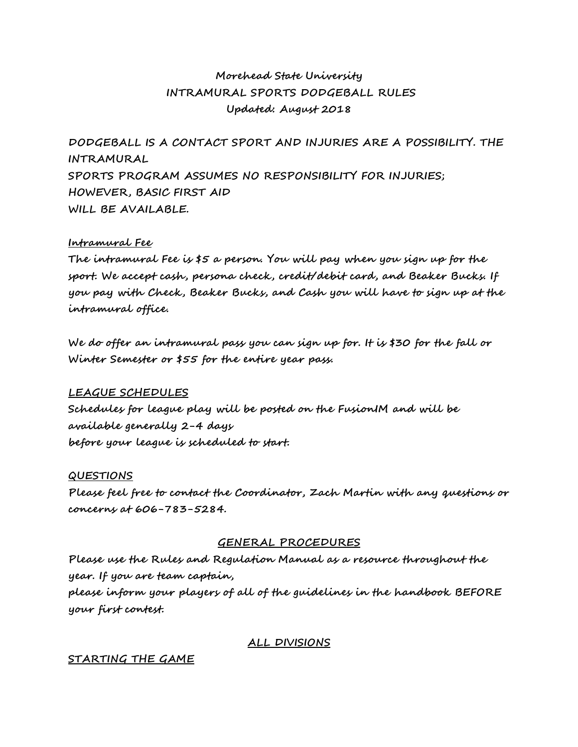# **Morehead State University INTRAMURAL SPORTS DODGEBALL RULES Updated: August 2018**

**DODGEBALL IS A CONTACT SPORT AND INJURIES ARE A POSSIBILITY. THE INTRAMURAL SPORTS PROGRAM ASSUMES NO RESPONSIBILITY FOR INJURIES; HOWEVER, BASIC FIRST AID WILL BE AVAILABLE.**

## **Intramural Fee**

**The intramural Fee is \$5 a person. You will pay when you sign up for the sport. We accept cash, persona check, credit/debit card, and Beaker Bucks. If you pay with Check, Beaker Bucks, and Cash you will have to sign up at the intramural office.** 

**We do offer an intramural pass you can sign up for. It is \$30 for the fall or Winter Semester or \$55 for the entire year pass.** 

#### **LEAGUE SCHEDULES**

**Schedules for league play will be posted on the FusionIM and will be available generally 2-4 days before your league is scheduled to start.**

#### **QUESTIONS**

**Please feel free to contact the Coordinator, Zach Martin with any questions or concerns at 606-783-5284.**

#### **GENERAL PROCEDURES**

**Please use the Rules and Regulation Manual as a resource throughout the year. If you are team captain, please inform your players of all of the guidelines in the handbook BEFORE your first contest.**

## **ALL DIVISIONS**

#### **STARTING THE GAME**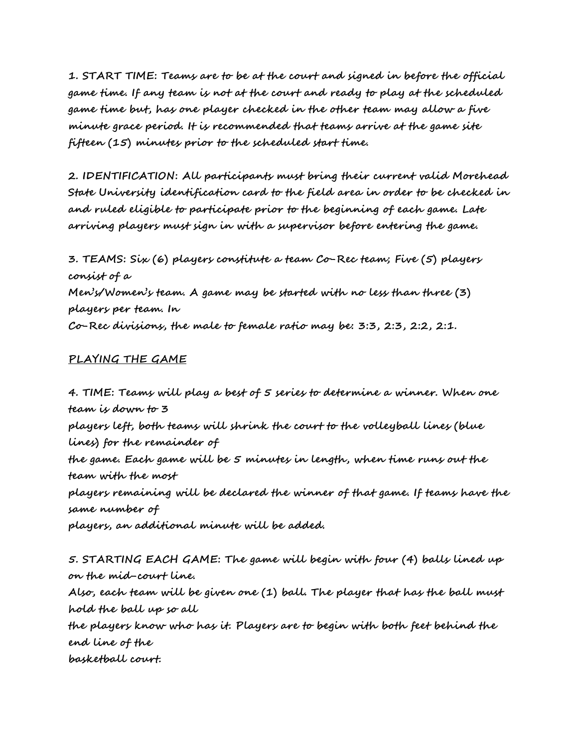**1. START TIME: Teams are to be at the court and signed in before the official game time. If any team is not at the court and ready to play at the scheduled game time but, has one player checked in the other team may allow a five minute grace period. It is recommended that teams arrive at the game site fifteen (15) minutes prior to the scheduled start time.** 

**2. IDENTIFICATION: All participants must bring their current valid Morehead State University identification card to the field area in order to be checked in and ruled eligible to participate prior to the beginning of each game. Late arriving players must sign in with a supervisor before entering the game.**

**3. TEAMS: Six (6) players constitute a team Co-Rec team; Five (5) players consist of a Men's/Women's team. A game may be started with no less than three (3) players per team. In Co-Rec divisions, the male to female ratio may be: 3:3, 2:3, 2:2, 2:1.**

## **PLAYING THE GAME**

**4. TIME: Teams will play a best of 5 series to determine a winner. When one team is down to 3 players left, both teams will shrink the court to the volleyball lines (blue lines) for the remainder of the game. Each game will be 5 minutes in length, when time runs out the team with the most players remaining will be declared the winner of that game. If teams have the same number of players, an additional minute will be added.**

**5. STARTING EACH GAME: The game will begin with four (4) balls lined up on the mid-court line. Also, each team will be given one (1) ball. The player that has the ball must hold the ball up so all the players know who has it. Players are to begin with both feet behind the end line of the basketball court.**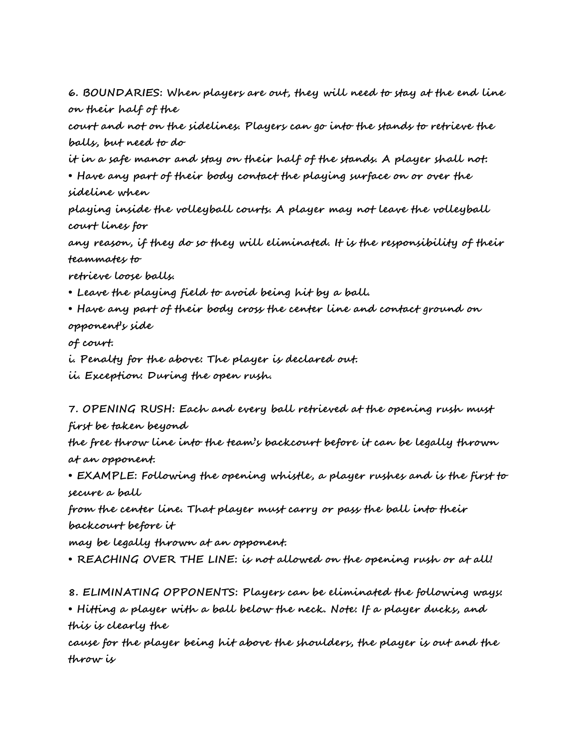**6. BOUNDARIES: When players are out, they will need to stay at the end line on their half of the**

**court and not on the sidelines. Players can go into the stands to retrieve the balls, but need to do**

**it in a safe manor and stay on their half of the stands. A player shall not:**

**• Have any part of their body contact the playing surface on or over the sideline when**

**playing inside the volleyball courts. A player may not leave the volleyball court lines for**

**any reason, if they do so they will eliminated. It is the responsibility of their teammates to**

**retrieve loose balls.**

**• Leave the playing field to avoid being hit by a ball.**

**• Have any part of their body cross the center line and contact ground on opponent's side**

**of court.**

**i. Penalty for the above: The player is declared out.**

**ii. Exception: During the open rush.**

**7. OPENING RUSH: Each and every ball retrieved at the opening rush must first be taken beyond**

**the free throw line into the team's backcourt before it can be legally thrown at an opponent.**

**• EXAMPLE: Following the opening whistle, a player rushes and is the first to secure a ball**

**from the center line. That player must carry or pass the ball into their backcourt before it**

**may be legally thrown at an opponent.**

**• REACHING OVER THE LINE: is not allowed on the opening rush or at all!**

**8. ELIMINATING OPPONENTS: Players can be eliminated the following ways:**

**• Hitting a player with a ball below the neck. Note: If a player ducks, and this is clearly the**

**cause for the player being hit above the shoulders, the player is out and the throw is**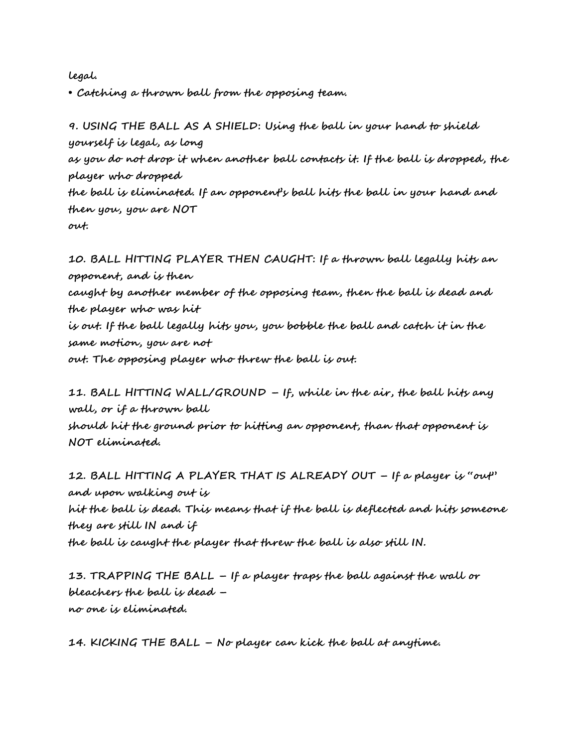**legal.**

**• Catching a thrown ball from the opposing team.**

**9. USING THE BALL AS A SHIELD: Using the ball in your hand to shield yourself is legal, as long as you do not drop it when another ball contacts it. If the ball is dropped, the player who dropped the ball is eliminated. If an opponent's ball hits the ball in your hand and then you, you are NOT out.**

**10. BALL HITTING PLAYER THEN CAUGHT: If a thrown ball legally hits an opponent, and is then caught by another member of the opposing team, then the ball is dead and the player who was hit is out. If the ball legally hits you, you bobble the ball and catch it in the same motion, you are not out. The opposing player who threw the ball is out.**

**11. BALL HITTING WALL/GROUND – If, while in the air, the ball hits any wall, or if a thrown ball**

**should hit the ground prior to hitting an opponent, than that opponent is NOT eliminated.**

**12. BALL HITTING A PLAYER THAT IS ALREADY OUT – If a player is "out" and upon walking out is hit the ball is dead. This means that if the ball is deflected and hits someone they are still IN and if the ball is caught the player that threw the ball is also still IN.**

**13. TRAPPING THE BALL – If a player traps the ball against the wall or bleachers the ball is dead – no one is eliminated.**

**14. KICKING THE BALL – No player can kick the ball at anytime.**